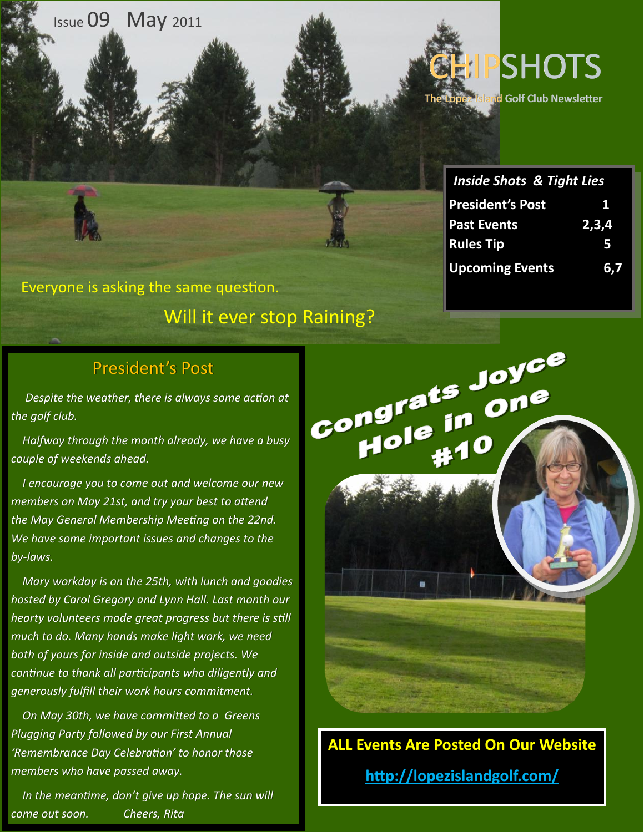**Issue 09** May 2011



**hd Golf Club Newsletter** 

| <b>Inside Shots &amp; Tight Lies</b> |       |
|--------------------------------------|-------|
| <b>President's Post</b>              | 1     |
| <b>Past Events</b>                   | 2,3,4 |
| <b>Rules Tip</b>                     | 5     |
| <b>Upcoming Events</b>               | 6.7   |

Everyone is asking the same question. Will it ever stop Raining?

#### President's Post

 *Despite the weather, there is always some action at the golf club.*

 *Halfway through the month already, we have a busy couple of weekends ahead.* 

 *I encourage you to come out and welcome our new members on May 21st, and try your best to attend the May General Membership Meeting on the 22nd. We have some important issues and changes to the by-laws.*

 *Mary workday is on the 25th, with lunch and goodies hosted by Carol Gregory and Lynn Hall. Last month our hearty volunteers made great progress but there is still much to do. Many hands make light work, we need both of yours for inside and outside projects. We continue to thank all participants who diligently and generously fulfill their work hours commitment.*

 *On May 30th, we have committed to a Greens Plugging Party followed by our First Annual 'Remembrance Day Celebration' to honor those members who have passed away.*

 *In the meantime, don't give up hope. The sun will come out soon. Cheers, Rita*



**ALL Events Are Posted On Our Website http://lopezislandgolf.com/**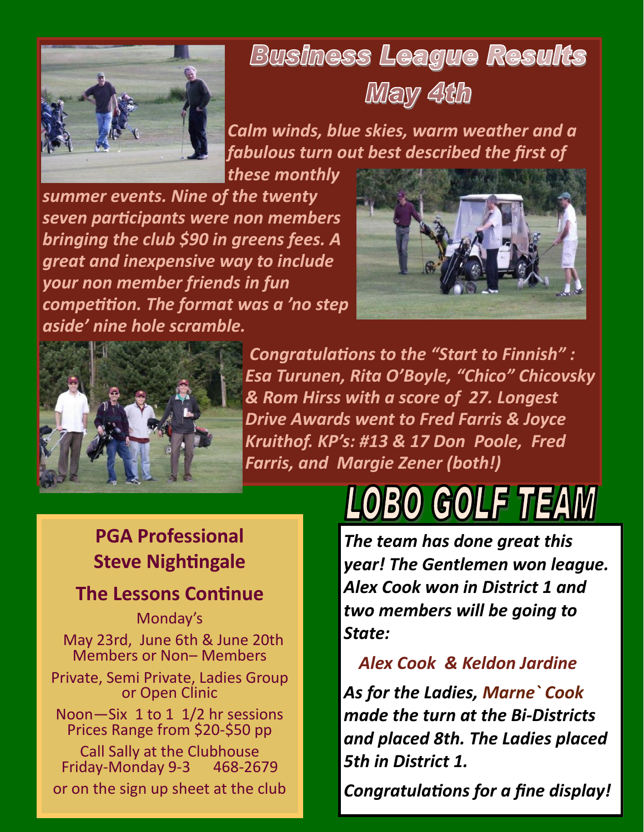

## **Business League Results**



*Calm winds, blue skies, warm weather and a fabulous turn out best described the first of these monthly* 

*summer events. Nine of the twenty seven participants were non members bringing the club \$90 in greens fees. A great and inexpensive way to include your non member friends in fun competition. The format was a 'no step aside' nine hole scramble.* 





*Congratulations to the "Start to Finnish" : Esa Turunen, Rita O'Boyle, "Chico" Chicovsky & Rom Hirss with a score of 27. Longest Drive Awards went to Fred Farris & Joyce Kruithof. KP's: #13 & 17 Don Poole, Fred Farris, and Margie Zener (both!)*

#### **PGA Professional Steve Nightingale**

#### **The Lessons Continue**

Monday's May 23rd, June 6th & June 20th Members or Non– Members Private, Semi Private, Ladies Group or Open Clinic Noon—Six 1 to 1 1/2 hr sessions Prices Range from \$20-\$50 pp Call Sally at the Clubhouse Friday-Monday 9-3 468-2679 or on the sign up sheet at the club

# 0 GOLF THEAW

*The team has done great this year! The Gentlemen won league. Alex Cook won in District 1 and two members will be going to State:* 

 *Alex Cook & Keldon Jardine As for the Ladies, Marne` Cook made the turn at the Bi-Districts and placed 8th. The Ladies placed 5th in District 1.*

*Congratulations for a fine display!*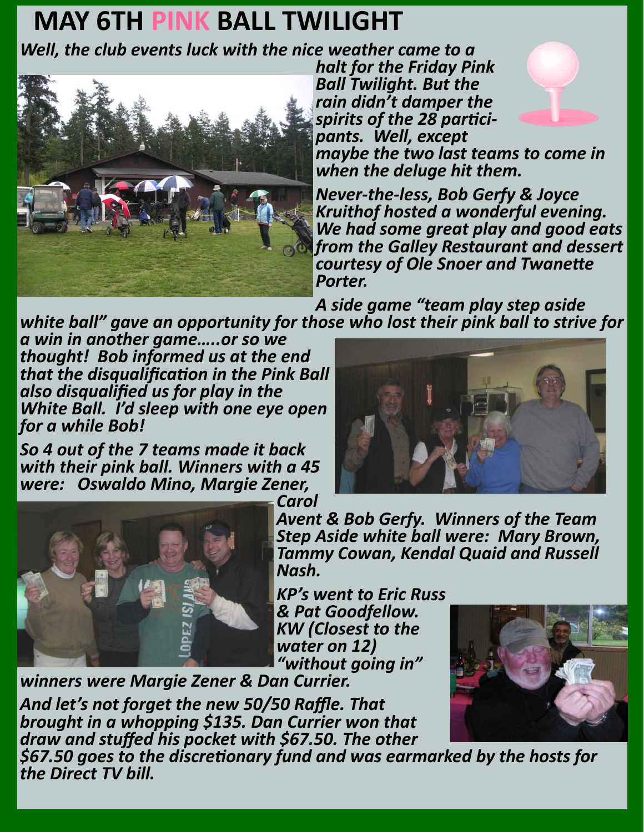### **MAY 6TH PINK BALL TWILIGHT**

*Well, the club events luck with the nice weather came to a* 



*halt for the Friday Pink Ball Twilight. But the rain didn't damper the spirits of the 28 participants. Well, except* 



*maybe the two last teams to come in when the deluge hit them.*

*Never-the-less, Bob Gerfy & Joyce Kruithof hosted a wonderful evening. We had some great play and good eats from the Galley Restaurant and dessert courtesy of Ole Snoer and Twanette Porter.*

*A side game "team play step aside white ball" gave an opportunity for those who lost their pink ball to strive for* 

*a win in another game…..or so we thought! Bob informed us at the end that the disqualification in the Pink Ball also disqualified us for play in the White Ball. I'd sleep with one eye open for a while Bob!*

*So 4 out of the 7 teams made it back with their pink ball. Winners with a 45 were: Oswaldo Mino, Margie Zener,* 





*Carol Avent & Bob Gerfy. Winners of the Team Step Aside white ball were: Mary Brown, Tammy Cowan, Kendal Quaid and Russell Nash.*

*KP's went to Eric Russ & Pat Goodfellow. KW (Closest to the water on 12) "without going in"* 

*winners were Margie Zener & Dan Currier.*

*And let's not forget the new 50/50 Raffle. That brought in a whopping \$135. Dan Currier won that draw and stuffed his pocket with \$67.50. The other* 



*\$67.50 goes to the discretionary fund and was earmarked by the hosts for the Direct TV bill.*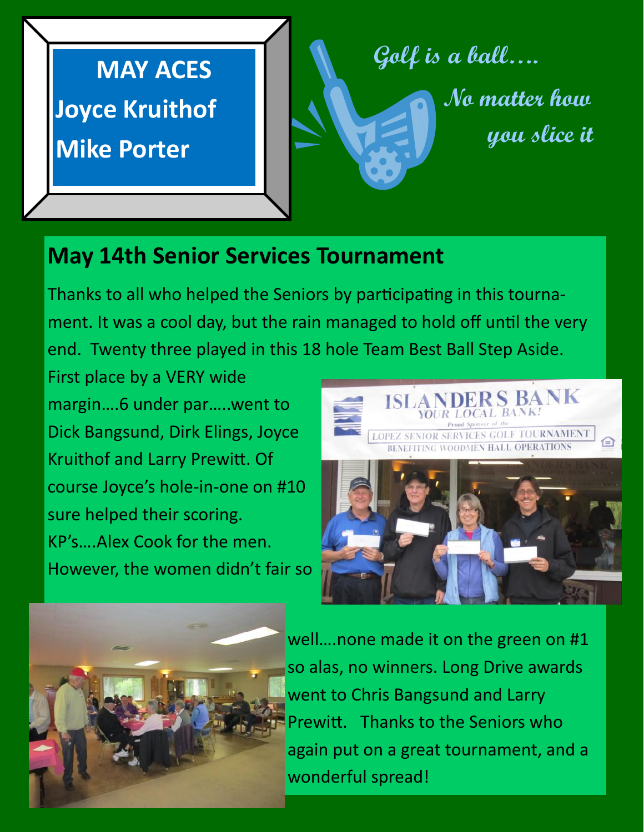**MAY ACES Joyce Kruithof Mike Porter**

**Golf is a ball…. No matter how you slice it**

#### **May 14th Senior Services Tournament**

Thanks to all who helped the Seniors by participating in this tournament. It was a cool day, but the rain managed to hold off until the very end. Twenty three played in this 18 hole Team Best Ball Step Aside.

First place by a VERY wide margin….6 under par…..went to Dick Bangsund, Dirk Elings, Joyce Kruithof and Larry Prewitt. Of course Joyce's hole-in-one on #10 sure helped their scoring. KP's….Alex Cook for the men. However, the women didn't fair so





well….none made it on the green on #1 so alas, no winners. Long Drive awards went to Chris Bangsund and Larry Prewitt. Thanks to the Seniors who again put on a great tournament, and a wonderful spread!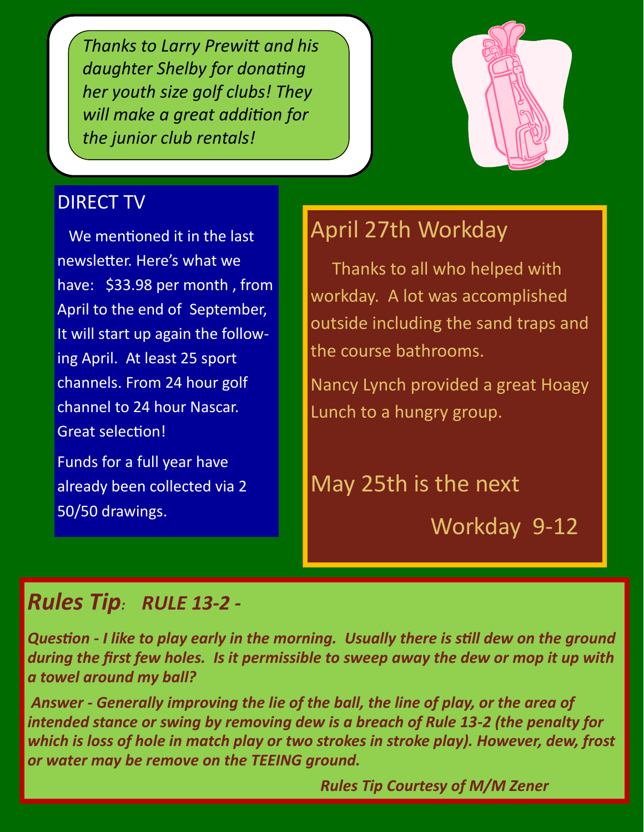*Thanks to Larry Prewitt and his daughter Shelby for donating her youth size golf clubs! They will make a great addition for the junior club rentals!*

#### DIRECT TV

 We mentioned it in the last newsletter. Here's what we have: \$33.98 per month , from April to the end of September, It will start up again the following April. At least 25 sport channels. From 24 hour golf channel to 24 hour Nascar. Great selection!

Funds for a full year have already been collected via 2 50/50 drawings.

#### April 27th Workday

 Thanks to all who helped with workday. A lot was accomplished outside including the sand traps and the course bathrooms.

Nancy Lynch provided a great Hoagy Lunch to a hungry group.

May 25th is the next

Workday 9-12

#### *Rules Tip: RULE 13-2 -*

*Question - I like to play early in the morning. Usually there is still dew on the ground during the first few holes. Is it permissible to sweep away the dew or mop it up with a towel around my ball?* 

*Answer - Generally improving the lie of the ball, the line of play, or the area of intended stance or swing by removing dew is a breach of Rule 13-2 (the penalty for which is loss of hole in match play or two strokes in stroke play). However, dew, frost or water may be remove on the TEEING ground.* 

 *Rules Tip Courtesy of M/M Zener*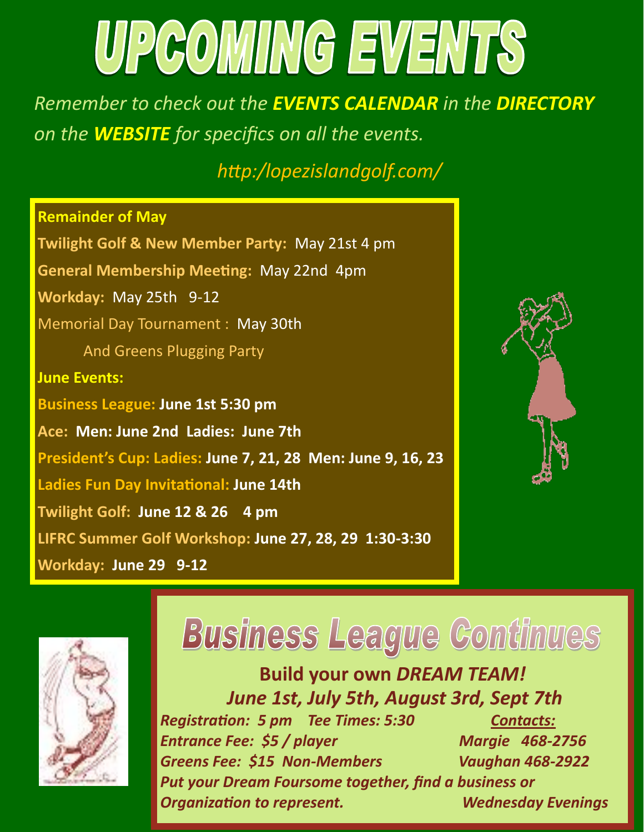# UPCOMING EVENTS

*Remember to check out the EVENTS CALENDAR in the DIRECTORY on the WEBSITE for specifics on all the events.* 

 *http:/lopezislandgolf.com/*

**Remainder of May Twilight Golf & New Member Party:** May 21st 4 pm **General Membership Meeting:** May 22nd 4pm **Workday:** May 25th 9-12 Memorial Day Tournament : May 30th And Greens Plugging Party **June Events: Business League: June 1st 5:30 pm Ace: Men: June 2nd Ladies: June 7th President's Cup: Ladies: June 7, 21, 28 Men: June 9, 16, 23 Ladies Fun Day Invitational: June 14th Twilight Golf: June 12 & 26 4 pm LIFRC Summer Golf Workshop: June 27, 28, 29 1:30-3:30 Workday: June 29 9-12**





# **Business League Continues**

**Build your own** *DREAM TEAM! June 1st, July 5th, August 3rd, Sept 7th*

*Registration: 5 pm Tee Times: 5:30 Contacts: Entrance Fee: \$5 / player Margie 468-2756 Greens Fee: \$15 Non-Members Vaughan 468-2922 Put your Dream Foursome together, find a business or Organization to represent. Wednesday Evenings*